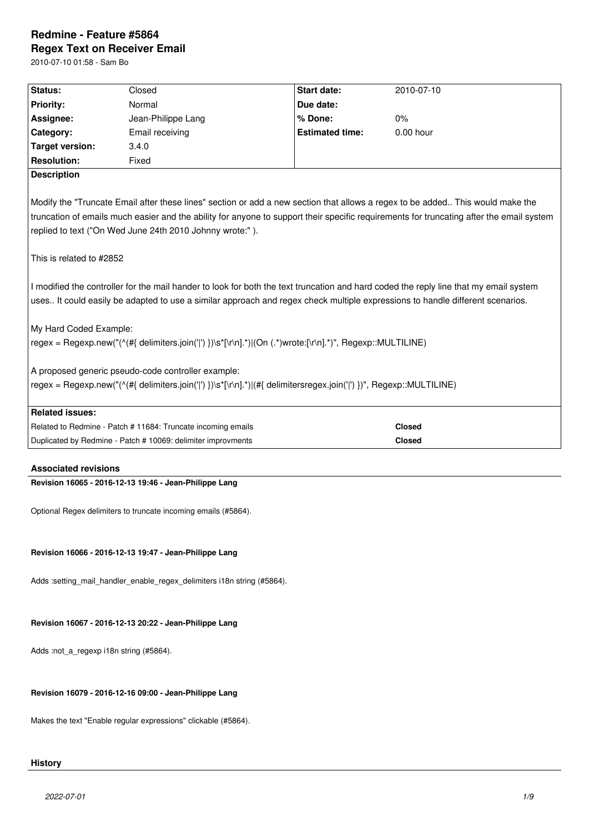# **Redmine - Feature #5864 Regex Text on Receiver Email**

2010-07-10 01:58 - Sam Bo

| Status:                                                                                                                                                                                                                                                                                                                                | Closed                                                       | <b>Start date:</b>     | 2010-07-10    |  |  |
|----------------------------------------------------------------------------------------------------------------------------------------------------------------------------------------------------------------------------------------------------------------------------------------------------------------------------------------|--------------------------------------------------------------|------------------------|---------------|--|--|
| <b>Priority:</b>                                                                                                                                                                                                                                                                                                                       | Normal                                                       | Due date:              |               |  |  |
| Assignee:                                                                                                                                                                                                                                                                                                                              | Jean-Philippe Lang                                           | % Done:                | 0%            |  |  |
| Category:                                                                                                                                                                                                                                                                                                                              | Email receiving                                              | <b>Estimated time:</b> | $0.00$ hour   |  |  |
| <b>Target version:</b>                                                                                                                                                                                                                                                                                                                 | 3.4.0                                                        |                        |               |  |  |
| <b>Resolution:</b>                                                                                                                                                                                                                                                                                                                     | Fixed                                                        |                        |               |  |  |
| <b>Description</b>                                                                                                                                                                                                                                                                                                                     |                                                              |                        |               |  |  |
| Modify the "Truncate Email after these lines" section or add a new section that allows a regex to be added This would make the<br>truncation of emails much easier and the ability for anyone to support their specific requirements for truncating after the email system<br>replied to text ("On Wed June 24th 2010 Johnny wrote:"). |                                                              |                        |               |  |  |
| This is related to #2852                                                                                                                                                                                                                                                                                                               |                                                              |                        |               |  |  |
| I modified the controller for the mail hander to look for both the text truncation and hard coded the reply line that my email system<br>uses It could easily be adapted to use a similar approach and regex check multiple expressions to handle different scenarios.                                                                 |                                                              |                        |               |  |  |
| My Hard Coded Example:                                                                                                                                                                                                                                                                                                                 |                                                              |                        |               |  |  |
| regex = Regexp.new("(^(#{ delimiters.join(' ') })\s*[\r\n].*) (On (.*)wrote:[\r\n].*)", Regexp::MULTILINE)                                                                                                                                                                                                                             |                                                              |                        |               |  |  |
|                                                                                                                                                                                                                                                                                                                                        | A proposed generic pseudo-code controller example:           |                        |               |  |  |
| regex = Regexp.new("(^(#{ delimiters.join(' ') })\s*[\r\n].*) (#{ delimitersregex.join(' ') })", Regexp::MULTILINE)                                                                                                                                                                                                                    |                                                              |                        |               |  |  |
| <b>Related issues:</b>                                                                                                                                                                                                                                                                                                                 |                                                              |                        |               |  |  |
|                                                                                                                                                                                                                                                                                                                                        | Related to Redmine - Patch # 11684: Truncate incoming emails |                        | <b>Closed</b> |  |  |
|                                                                                                                                                                                                                                                                                                                                        | Duplicated by Redmine - Patch # 10069: delimiter improvments |                        | <b>Closed</b> |  |  |

## **Associated revisions**

**Revision 16065 - 2016-12-13 19:46 - Jean-Philippe Lang**

Optional Regex delimiters to truncate incoming emails (#5864).

## **Revision 16066 - 2016-12-13 19:47 - Jean-Philippe Lang**

Adds :setting\_mail\_handler\_enable\_regex\_delimiters i18n string (#5864).

## **Revision 16067 - 2016-12-13 20:22 - Jean-Philippe Lang**

Adds :not\_a\_regexp i18n string (#5864).

## **Revision 16079 - 2016-12-16 09:00 - Jean-Philippe Lang**

Makes the text "Enable regular expressions" clickable (#5864).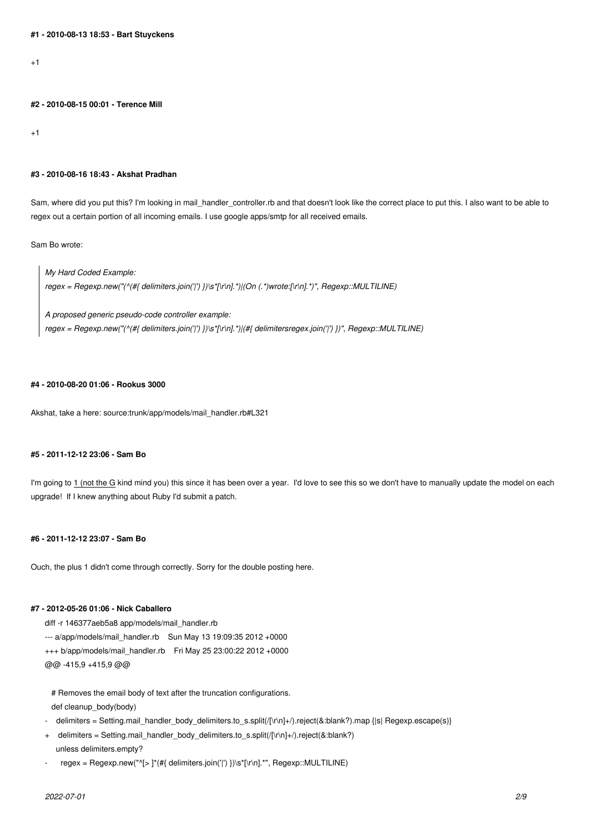$+1$ 

**#2 - 2010-08-15 00:01 - Terence Mill**

 $+1$ 

#### **#3 - 2010-08-16 18:43 - Akshat Pradhan**

Sam, where did you put this? I'm looking in mail handler controller.rb and that doesn't look like the correct place to put this. I also want to be able to regex out a certain portion of all incoming emails. I use google apps/smtp for all received emails.

Sam Bo wrote:

*My Hard Coded Example: regex = Regexp.new("(^(#{ delimiters.join('|') })\s\*[\r\n].\*)|(On (.\*)wrote:[\r\n].\*)", Regexp::MULTILINE)*

*A proposed generic pseudo-code controller example: regex = Regexp.new("(^(#{ delimiters.join('|') })\s\*[\r\n].\*)|(#{ delimitersregex.join('|') })", Regexp::MULTILINE)*

### **#4 - 2010-08-20 01:06 - Rookus 3000**

Akshat, take a here: source:trunk/app/models/mail\_handler.rb#L321

#### **#5 - 2011-12-12 23:06 - Sam Bo**

I'm going to 1 (not the G kind mind you) this since it has been over a year. I'd love to see this so we don't have to manually update the model on each upgrade! If I knew anything about Ruby I'd submit a patch.

## **#6 - 2011-12-12 23:07 - Sam Bo**

Ouch, the plus 1 didn't come through correctly. Sorry for the double posting here.

#### **#7 - 2012-05-26 01:06 - Nick Caballero**

diff -r 146377aeb5a8 app/models/mail\_handler.rb --- a/app/models/mail\_handler.rb Sun May 13 19:09:35 2012 +0000 +++ b/app/models/mail\_handler.rb Fri May 25 23:00:22 2012 +0000 @@ -415,9 +415,9 @@

# Removes the email body of text after the truncation configurations. def cleanup\_body(body)

- delimiters = Setting.mail\_handler\_body\_delimiters.to\_s.split(/[\r\n]+/).reject(&:blank?).map {|s| Regexp.escape(s)}
- + delimiters = Setting.mail\_handler\_body\_delimiters.to\_s.split(/[\r\n]+/).reject(&:blank?) unless delimiters.empty?
- regex = Regexp.new("^[> ]\*(#{ delimiters.join('|') })\s\*[\r\n].\*", Regexp::MULTILINE)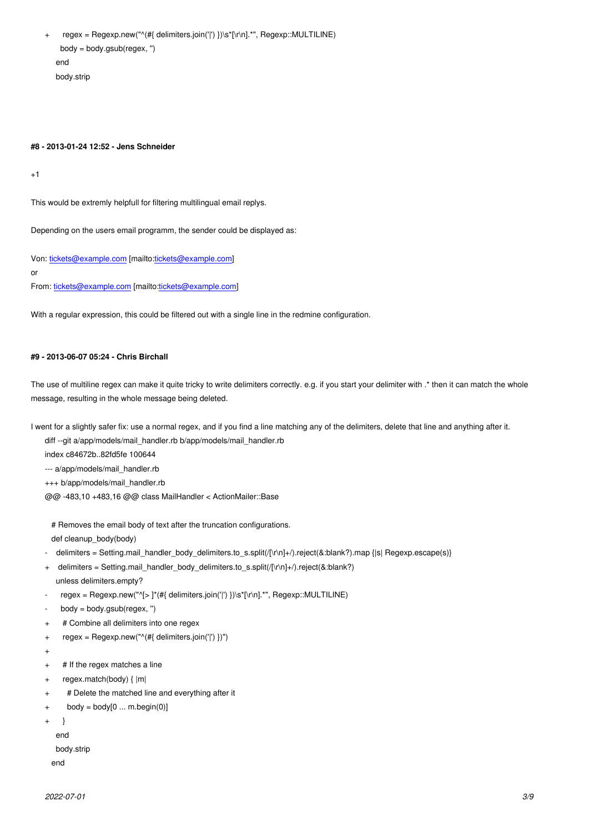$\log y = \log y \cdot \log y$  end body.strip

#### **#8 - 2013-01-24 12:52 - Jens Schneider**

+1

This would be extremly helpfull for filtering multilingual email replys.

Depending on the users email programm, the sender could be displayed as:

Von: tickets@example.com [mailto:tickets@example.com] or From: tickets@example.com [mailto:tickets@example.com]

With [a regular expression, t](mailto:tickets@example.com)his coul[d be filtered out with a](mailto:tickets@example.com) single line in the redmine configuration.

#### **#9 - 2013-06-07 05:24 - Chris Birchall**

The use of multiline regex can make it quite tricky to write delimiters correctly. e.g. if you start your delimiter with .\* then it can match the whole message, resulting in the whole message being deleted.

I went for a slightly safer fix: use a normal regex, and if you find a line matching any of the delimiters, delete that line and anything after it.

diff --git a/app/models/mail\_handler.rb b/app/models/mail\_handler.rb

index c84672b..82fd5fe 100644

--- a/app/models/mail\_handler.rb

+++ b/app/models/mail\_handler.rb

@@ -483,10 +483,16 @@ class MailHandler < ActionMailer::Base

 # Removes the email body of text after the truncation configurations. def cleanup\_body(body)

- delimiters = Setting.mail\_handler\_body\_delimiters.to\_s.split(/[\r\n]+/).reject(&:blank?).map {|s| Regexp.escape(s)}
- + delimiters = Setting.mail\_handler\_body\_delimiters.to\_s.split(/[\r\n]+/).reject(&:blank?)
- unless delimiters.empty?
- $regex = Regexp.new("^5]*(#{ delmitters.join("] })\s*[r\n] *", Regexp::MULTILINE)$
- body = body.gsub(regex, ")
- + # Combine all delimiters into one regex
- + regex = Regexp.new("^(#{ delimiters.join('|') })")
- +
- + # If the regex matches a line
- + regex.match(body) { |m|
- + # Delete the matched line and everything after it
- $+$  body = body[0 ... m.begin(0)]

```
+ }
```
end

body.strip

end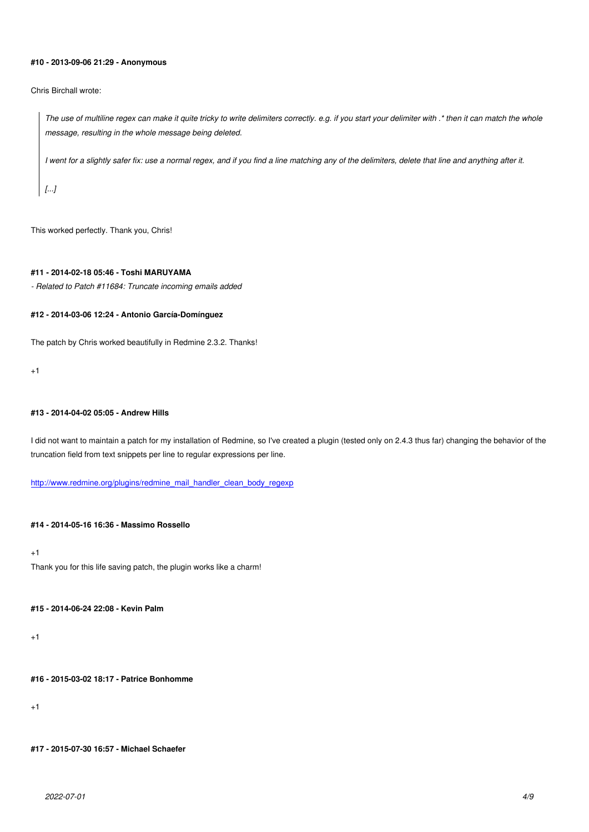#### **#10 - 2013-09-06 21:29 - Anonymous**

#### Chris Birchall wrote:

*The use of multiline regex can make it quite tricky to write delimiters correctly. e.g. if you start your delimiter with .\* then it can match the whole message, resulting in the whole message being deleted.*

*I went for a slightly safer fix: use a normal regex, and if you find a line matching any of the delimiters, delete that line and anything after it.*

*[...]*

This worked perfectly. Thank you, Chris!

## **#11 - 2014-02-18 05:46 - Toshi MARUYAMA**

*- Related to Patch #11684: Truncate incoming emails added*

#### **#12 - 2014-03-06 12:24 - Antonio García-Domínguez**

The patch by Chris worked beautifully in Redmine 2.3.2. Thanks!

+1

## **#13 - 2014-04-02 05:05 - Andrew Hills**

I did not want to maintain a patch for my installation of Redmine, so I've created a plugin (tested only on 2.4.3 thus far) changing the behavior of the truncation field from text snippets per line to regular expressions per line.

http://www.redmine.org/plugins/redmine\_mail\_handler\_clean\_body\_regexp

#### **[#14 - 2014-05-16 16:36 - Massimo Rossello](http://www.redmine.org/plugins/redmine_mail_handler_clean_body_regexp)**

+1 Thank you for this life saving patch, the plugin works like a charm!

#### **#15 - 2014-06-24 22:08 - Kevin Palm**

+1

**#16 - 2015-03-02 18:17 - Patrice Bonhomme**

+1

**#17 - 2015-07-30 16:57 - Michael Schaefer**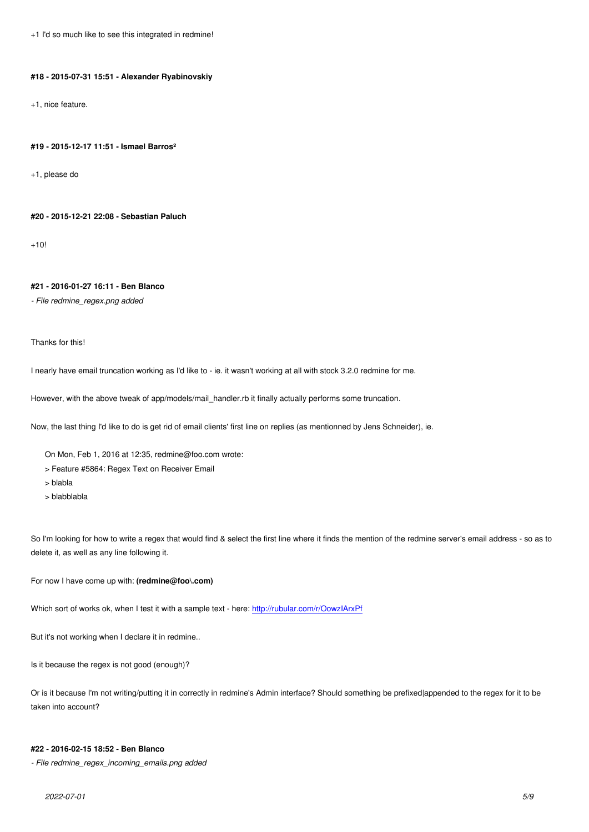#### **#18 - 2015-07-31 15:51 - Alexander Ryabinovskiy**

+1, nice feature.

#### **#19 - 2015-12-17 11:51 - Ismael Barros²**

+1, please do

#### **#20 - 2015-12-21 22:08 - Sebastian Paluch**

 $+10!$ 

#### **#21 - 2016-01-27 16:11 - Ben Blanco**

*- File redmine\_regex.png added*

Thanks for this!

I nearly have email truncation working as I'd like to - ie. it wasn't working at all with stock 3.2.0 redmine for me.

However, with the above tweak of app/models/mail\_handler.rb it finally actually performs some truncation.

Now, the last thing I'd like to do is get rid of email clients' first line on replies (as mentionned by Jens Schneider), ie.

On Mon, Feb 1, 2016 at 12:35, redmine@foo.com wrote:

- > Feature #5864: Regex Text on Receiver Email
- > blabla
- > blabblabla

So I'm looking for how to write a regex that would find & select the first line where it finds the mention of the redmine server's email address - so as to delete it, as well as any line following it.

For now I have come up with: **(redmine@foo\.com)**

Which sort of works ok, when I test it with a sample text - here: http://rubular.com/r/OowzIArxPf

But it's not working when I declare it in redmine..

Is it because the regex is not good (enough)?

Or is it because I'm not writing/putting it in correctly in redmine's Admin interface? Should something be prefixed|appended to the regex for it to be taken into account?

#### **#22 - 2016-02-15 18:52 - Ben Blanco**

*- File redmine\_regex\_incoming\_emails.png added*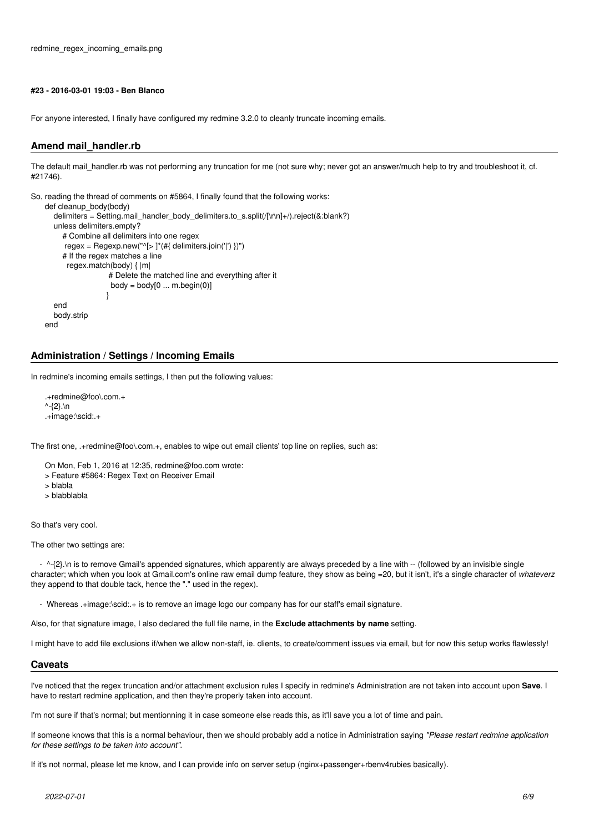#### **#23 - 2016-03-01 19:03 - Ben Blanco**

For anyone interested, I finally have configured my redmine 3.2.0 to cleanly truncate incoming emails.

## **Amend mail\_handler.rb**

The default mail\_handler.rb was not performing any truncation for me (not sure why; never got an answer/much help to try and troubleshoot it, cf. #21746).

```
So, reading the thread of comments on #5864, I finally found that the following works:
   def cleanup_body(body)
       delimiters = Setting.mail_handler_body_delimiters.to_s.split(/[\r\n]+/).reject(&:blank?)
       unless delimiters.empty?
          # Combine all delimiters into one regex
         regex = Regexp.new("\le]*(#{ delimiters.join('|') })")
         # If the regex matches a line
           regex.match(body) { |m|
                      # Delete the matched line and everything after it
                     body = body[0 ... m.begin(0)] }
       end
       body.strip
   end
```
## **Administration / Settings / Incoming Emails**

In redmine's incoming emails settings, I then put the following values:

```
.+redmine@foo\.com.+
^{\wedge}-{2}.\n
.+image:\scid:.+
```
The first one, .+redmine@foo\.com.+, enables to wipe out email clients' top line on replies, such as:

- On Mon, Feb 1, 2016 at 12:35, redmine@foo.com wrote:
- > Feature #5864: Regex Text on Receiver Email
- > blabla
- > blabblabla

So that's very cool.

The other two settings are:

- ^-{2}.\n is to remove Gmail's appended signatures, which apparently are always preceded by a line with -- (followed by an invisible single character; which when you look at Gmail.com's online raw email dump feature, they show as being =20, but it isn't, it's a single character of *whateverz* they append to that double tack, hence the "." used in the regex).

- Whereas .+image:\scid:.+ is to remove an image logo our company has for our staff's email signature.

Also, for that signature image, I also declared the full file name, in the **Exclude attachments by name** setting.

I might have to add file exclusions if/when we allow non-staff, ie. clients, to create/comment issues via email, but for now this setup works flawlessly!

#### **Caveats**

I've noticed that the regex truncation and/or attachment exclusion rules I specify in redmine's Administration are not taken into account upon **Save**. I have to restart redmine application, and then they're properly taken into account.

I'm not sure if that's normal; but mentionning it in case someone else reads this, as it'll save you a lot of time and pain.

If someone knows that this is a normal behaviour, then we should probably add a notice in Administration saying *"Please restart redmine application for these settings to be taken into account"*.

If it's not normal, please let me know, and I can provide info on server setup (nginx+passenger+rbenv4rubies basically).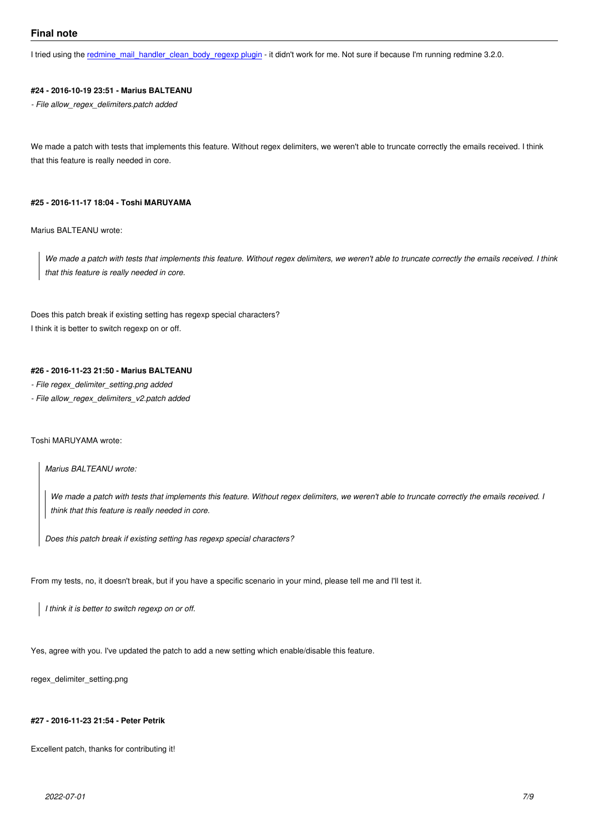I tried using the redmine mail handler clean body regexp plugin - it didn't work for me. Not sure if because I'm running redmine 3.2.0.

#### **#24 - 2016-10-19 23:51 - Marius BALTEANU**

*- File allow\_reg[ex\\_delimiters.patch added](http://www.redmine.org/plugins/redmine_mail_handler_clean_body_regexp)*

We made a patch with tests that implements this feature. Without regex delimiters, we weren't able to truncate correctly the emails received. I think that this feature is really needed in core.

#### **#25 - 2016-11-17 18:04 - Toshi MARUYAMA**

Marius BALTEANU wrote:

*We made a patch with tests that implements this feature. Without regex delimiters, we weren't able to truncate correctly the emails received. I think that this feature is really needed in core.*

Does this patch break if existing setting has regexp special characters? I think it is better to switch regexp on or off.

## **#26 - 2016-11-23 21:50 - Marius BALTEANU**

- *File regex\_delimiter\_setting.png added*
- *File allow\_regex\_delimiters\_v2.patch added*

#### Toshi MARUYAMA wrote:

*Marius BALTEANU wrote:*

*We made a patch with tests that implements this feature. Without regex delimiters, we weren't able to truncate correctly the emails received. I think that this feature is really needed in core.*

*Does this patch break if existing setting has regexp special characters?*

From my tests, no, it doesn't break, but if you have a specific scenario in your mind, please tell me and I'll test it.

*I think it is better to switch regexp on or off.*

Yes, agree with you. I've updated the patch to add a new setting which enable/disable this feature.

regex\_delimiter\_setting.png

#### **#27 - 2016-11-23 21:54 - Peter Petrik**

Excellent patch, thanks for contributing it!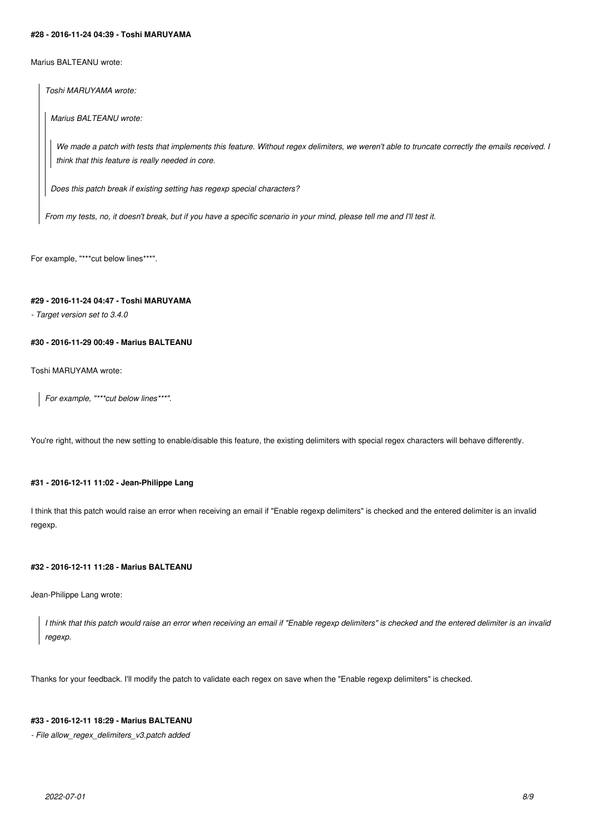#### **#28 - 2016-11-24 04:39 - Toshi MARUYAMA**

Marius BALTEANU wrote:

*Toshi MARUYAMA wrote:*

*Marius BALTEANU wrote:*

*We made a patch with tests that implements this feature. Without regex delimiters, we weren't able to truncate correctly the emails received. I think that this feature is really needed in core.*

*Does this patch break if existing setting has regexp special characters?*

*From my tests, no, it doesn't break, but if you have a specific scenario in your mind, please tell me and I'll test it.*

For example, "\*\*\* cut below lines\*\*\*".

## **#29 - 2016-11-24 04:47 - Toshi MARUYAMA**

*- Target version set to 3.4.0*

## **#30 - 2016-11-29 00:49 - Marius BALTEANU**

Toshi MARUYAMA wrote:

*For example, "\*\*\*cut below lines\*\*\*".*

You're right, without the new setting to enable/disable this feature, the existing delimiters with special regex characters will behave differently.

#### **#31 - 2016-12-11 11:02 - Jean-Philippe Lang**

I think that this patch would raise an error when receiving an email if "Enable regexp delimiters" is checked and the entered delimiter is an invalid regexp.

## **#32 - 2016-12-11 11:28 - Marius BALTEANU**

Jean-Philippe Lang wrote:

*I think that this patch would raise an error when receiving an email if "Enable regexp delimiters" is checked and the entered delimiter is an invalid regexp.*

Thanks for your feedback. I'll modify the patch to validate each regex on save when the "Enable regexp delimiters" is checked.

## **#33 - 2016-12-11 18:29 - Marius BALTEANU**

*- File allow\_regex\_delimiters\_v3.patch added*